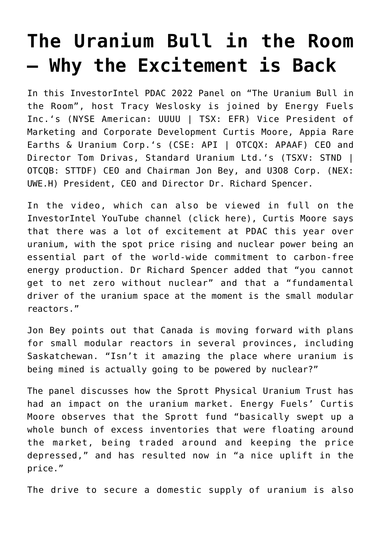## **[The Uranium Bull in the Room](https://investorintel.com/investorintel-video/the-uranium-bull-in-the-room-why-the-excitement-is-back/) [– Why the Excitement is Back](https://investorintel.com/investorintel-video/the-uranium-bull-in-the-room-why-the-excitement-is-back/)**

In this InvestorIntel PDAC 2022 Panel on "The Uranium Bull in the Room", host Tracy Weslosky is joined by [Energy Fuels](https://www.energyfuels.com/index.php) [Inc.](https://www.energyfuels.com/index.php)'s (NYSE American: UUUU | TSX: EFR) Vice President of Marketing and Corporate Development Curtis Moore, [Appia Rare](https://www.appiareu.com/) [Earths & Uranium Corp.](https://www.appiareu.com/)'s (CSE: API | OTCQX: APAAF) CEO and Director Tom Drivas, [Standard Uranium Ltd.](https://standarduranium.ca/)'s (TSXV: STND | OTCQB: STTDF) CEO and Chairman Jon Bey, and [U3O8 Corp.](http://www.u3o8corp.com/) (NEX: UWE.H) President, CEO and Director Dr. Richard Spencer.

In the video, which can also be viewed in full on the InvestorIntel YouTube channel ([click here](https://youtu.be/mioxT3BCPuA)), Curtis Moore says that there was a lot of excitement at PDAC this year over uranium, with the spot price rising and nuclear power being an essential part of the world-wide commitment to carbon-free energy production. Dr Richard Spencer added that "you cannot get to net zero without nuclear" and that a "fundamental driver of the uranium space at the moment is the small modular reactors."

Jon Bey points out that Canada is moving forward with plans for small modular reactors in several provinces, including Saskatchewan. "Isn't it amazing the place where uranium is being mined is actually going to be powered by nuclear?"

The panel discusses how the Sprott Physical Uranium Trust has had an impact on the uranium market. Energy Fuels' Curtis Moore observes that the Sprott fund "basically swept up a whole bunch of excess inventories that were floating around the market, being traded around and keeping the price depressed," and has resulted now in "a nice uplift in the price."

The drive to secure a domestic supply of uranium is also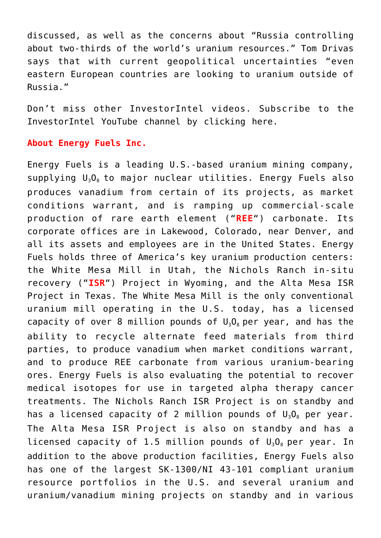discussed, as well as the concerns about "Russia controlling about two-thirds of the world's uranium resources." Tom Drivas says that with current geopolitical uncertainties "even eastern European countries are looking to uranium outside of Russia."

Don't miss other InvestorIntel videos. Subscribe to the InvestorIntel YouTube channel by [clicking here](https://www.youtube.com/c/InvestorIntel).

## **About Energy Fuels Inc.**

Energy Fuels is a leading U.S.-based uranium mining company, supplying  $U_3O_8$  to major nuclear utilities. Energy Fuels also produces vanadium from certain of its projects, as market conditions warrant, and is ramping up commercial-scale production of rare earth element ("**REE**") carbonate. Its corporate offices are in Lakewood, Colorado, near Denver, and all its assets and employees are in the United States. Energy Fuels holds three of America's key uranium production centers: the White Mesa Mill in Utah, the Nichols Ranch in-situ recovery ("**ISR**") Project in Wyoming, and the Alta Mesa ISR Project in Texas. The White Mesa Mill is the only conventional uranium mill operating in the U.S. today, has a licensed capacity of over 8 million pounds of  $U_3O_8$  per year, and has the ability to recycle alternate feed materials from third parties, to produce vanadium when market conditions warrant, and to produce REE carbonate from various uranium-bearing ores. Energy Fuels is also evaluating the potential to recover medical isotopes for use in targeted alpha therapy cancer treatments. The Nichols Ranch ISR Project is on standby and has a licensed capacity of 2 million pounds of  $U_3O_8$  per year. The Alta Mesa ISR Project is also on standby and has a licensed capacity of 1.5 million pounds of  $U_3O_8$  per year. In addition to the above production facilities, Energy Fuels also has one of the largest SK-1300/NI 43-101 compliant uranium resource portfolios in the U.S. and several uranium and uranium/vanadium mining projects on standby and in various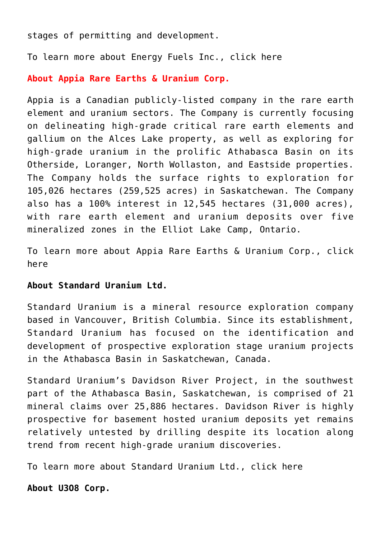stages of permitting and development.

To learn more about Energy Fuels Inc., [click here](https://www.energyfuels.com/)

## **About Appia Rare Earths & Uranium Corp.**

Appia is a Canadian publicly-listed company in the rare earth element and uranium sectors. The Company is currently focusing on delineating high-grade critical rare earth elements and gallium on the Alces Lake property, as well as exploring for high-grade uranium in the prolific Athabasca Basin on its Otherside, Loranger, North Wollaston, and Eastside properties. The Company holds the surface rights to exploration for 105,026 hectares (259,525 acres) in Saskatchewan. The Company also has a 100% interest in 12,545 hectares (31,000 acres), with rare earth element and uranium deposits over five mineralized zones in the Elliot Lake Camp, Ontario.

To learn more about Appia Rare Earths & Uranium Corp., [click](https://www.appiareu.com/) [here](https://www.appiareu.com/)

## **About Standard Uranium Ltd.**

Standard Uranium is a mineral resource exploration company based in Vancouver, British Columbia. Since its establishment, Standard Uranium has focused on the identification and development of prospective exploration stage uranium projects in the Athabasca Basin in Saskatchewan, Canada.

Standard Uranium's Davidson River Project, in the southwest part of the Athabasca Basin, Saskatchewan, is comprised of 21 mineral claims over 25,886 hectares. Davidson River is highly prospective for basement hosted uranium deposits yet remains relatively untested by drilling despite its location along trend from recent high-grade uranium discoveries.

To learn more about Standard Uranium Ltd., [click here](https://standarduranium.ca/)

**About U3O8 Corp.**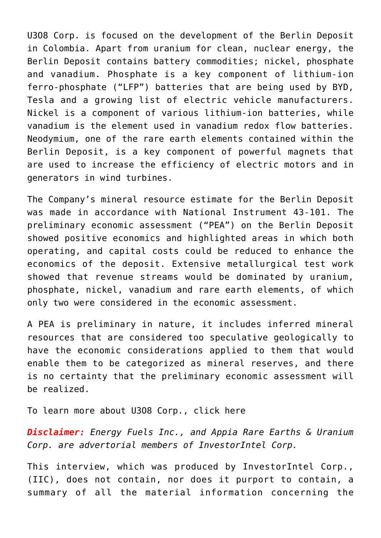U3O8 Corp. is focused on the development of the Berlin Deposit in Colombia. Apart from uranium for clean, nuclear energy, the Berlin Deposit contains battery commodities; nickel, phosphate and vanadium. Phosphate is a key component of lithium-ion ferro-phosphate ("LFP") batteries that are being used by BYD, Tesla and a growing list of electric vehicle manufacturers. Nickel is a component of various lithium-ion batteries, while vanadium is the element used in vanadium redox flow batteries. Neodymium, one of the rare earth elements contained within the Berlin Deposit, is a key component of powerful magnets that are used to increase the efficiency of electric motors and in generators in wind turbines.

The Company's mineral resource estimate for the Berlin Deposit was made in accordance with National Instrument 43-101. The preliminary economic assessment ("PEA") on the Berlin Deposit showed positive economics and highlighted areas in which both operating, and capital costs could be reduced to enhance the economics of the deposit. Extensive metallurgical test work showed that revenue streams would be dominated by uranium, phosphate, nickel, vanadium and rare earth elements, of which only two were considered in the economic assessment.

A PEA is preliminary in nature, it includes inferred mineral resources that are considered too speculative geologically to have the economic considerations applied to them that would enable them to be categorized as mineral reserves, and there is no certainty that the preliminary economic assessment will be realized.

To learn more about U3O8 Corp., [click here](http://www.u3o8corp.com/)

*Disclaimer: Energy Fuels Inc., and Appia Rare Earths & Uranium Corp. are advertorial members of InvestorIntel Corp.*

This interview, which was produced by InvestorIntel Corp., (IIC), does not contain, nor does it purport to contain, a summary of all the material information concerning the